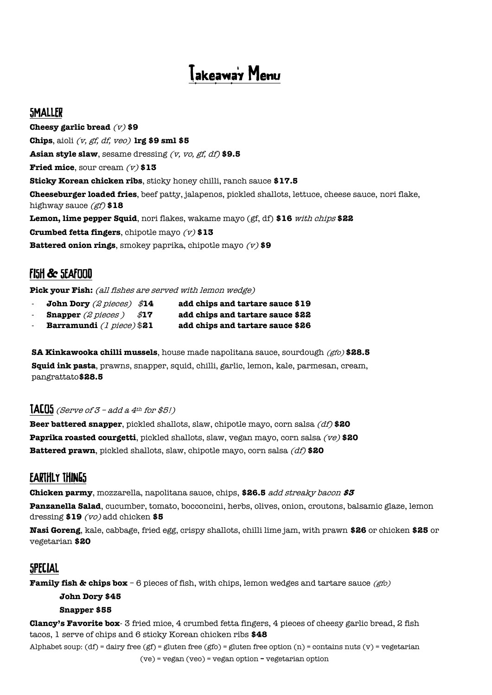# Takeawa's Menu

### **SMALLER**

**Cheesy garlic bread** (v) **\$9 Chips**, aioli (v, gf, df, veo) **lrg \$9 sml \$5 Asian style slaw**, sesame dressing (v, vo, gf, df) **\$9.5 Fried mice**, sour cream  $(v)$  \$13 **Sticky Korean chicken ribs**, sticky honey chilli, ranch sauce **\$17.5 Cheeseburger loaded fries**, beef patty, jalapenos, pickled shallots, lettuce, cheese sauce, nori flake, highway sauce (gf) **\$18 Lemon, lime pepper Squid**, nori flakes, wakame mayo (gf, df) **\$16** with chips **\$22 Crumbed fetta fingers**, chipotle mayo (v) **\$13 Battered onion rings**, smokey paprika, chipotle mayo (v) **\$9**

## **FI5H & SEAFOOD**

Pick your Fish: (all fishes are served with lemon wedge)

- **John Dory** (2 pieces) \$**14 add chips and tartare sauce \$19**
- **Snapper** (2 pieces ) \$**17 add chips and tartare sauce \$22**
- 
- **Barramundi** (1 piece) \$**21 add chips and tartare sauce \$26**
- **SA Kinkawooka chilli mussels**, house made napolitana sauce, sourdough (gfo) **\$28.5 Squid ink pasta**, prawns, snapper, squid, chilli, garlic, lemon, kale, parmesan, cream, pangrattato**\$28.5**

#### **[ALU5** (Serve of  $3$  – add a 4<sup>th</sup> for \$5!)

**Beer battered snapper**, pickled shallots, slaw, chipotle mayo, corn salsa (df) **\$20 Paprika roasted courgetti**, pickled shallots, slaw, vegan mayo, corn salsa (ve) **\$20 Battered prawn**, pickled shallots, slaw, chipotle mayo, corn salsa (df) **\$20**

## **EARTHLY THINGS**

**Chicken parmy**, mozzarella, napolitana sauce, chips, **\$26.5** add streaky bacon **\$3 Panzanella Salad**, cucumber, tomato, bocconcini, herbs, olives, onion, croutons, balsamic glaze, lemon dressing **\$19** (vo) add chicken **\$5**

**Nasi Goreng**, kale, cabbage, fried egg, crispy shallots, chilli lime jam, with prawn **\$26** or chicken **\$25** or vegetarian **\$20** 

## **SPECIAL**

**Family fish & chips box** – 6 pieces of fish, with chips, lemon wedges and tartare sauce (*gfo*)

#### **John Dory \$45 Snapper \$55**

**Clancy's Favorite box**- 3 fried mice, 4 crumbed fetta fingers, 4 pieces of cheesy garlic bread, 2 fish tacos, 1 serve of chips and 6 sticky Korean chicken ribs **\$48**

Alphabet soup: (df) = dairy free (gf) = gluten free (gfo) = gluten free option (n) = contains nuts (v) = vegetarian

(ve) = vegan (veo) = vegan option **–** vegetarian option